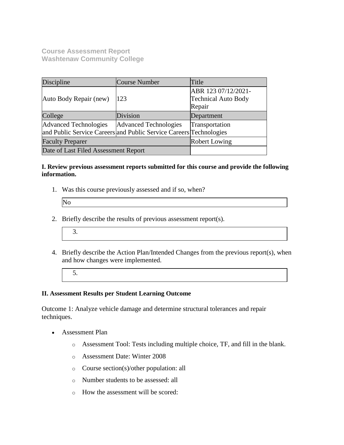**Course Assessment Report Washtenaw Community College**

| Discipline                                                         | Course Number                | Title                      |
|--------------------------------------------------------------------|------------------------------|----------------------------|
|                                                                    |                              | ABR 123 07/12/2021-        |
| Auto Body Repair (new)                                             | 123                          | <b>Technical Auto Body</b> |
|                                                                    |                              | Repair                     |
| College                                                            | Division                     | Department                 |
| <b>Advanced Technologies</b>                                       | <b>Advanced Technologies</b> | Transportation             |
| and Public Service Careers and Public Service Careers Technologies |                              |                            |
| <b>Faculty Preparer</b>                                            | <b>Robert Lowing</b>         |                            |
| Date of Last Filed Assessment Report                               |                              |                            |

### **I. Review previous assessment reports submitted for this course and provide the following information.**

1. Was this course previously assessed and if so, when?

| N |  |  |
|---|--|--|
|   |  |  |

- 2. Briefly describe the results of previous assessment report(s).
	- 3.
- 4. Briefly describe the Action Plan/Intended Changes from the previous report(s), when and how changes were implemented.
	- 5.

### **II. Assessment Results per Student Learning Outcome**

Outcome 1: Analyze vehicle damage and determine structural tolerances and repair techniques.

- Assessment Plan
	- o Assessment Tool: Tests including multiple choice, TF, and fill in the blank.
	- o Assessment Date: Winter 2008
	- o Course section(s)/other population: all
	- o Number students to be assessed: all
	- o How the assessment will be scored: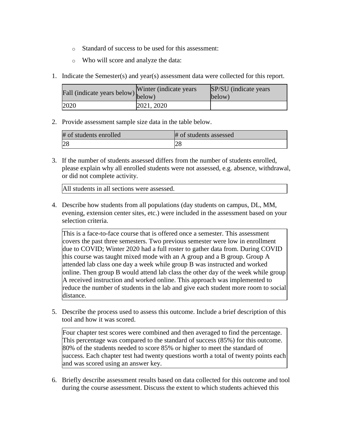- o Standard of success to be used for this assessment:
- o Who will score and analyze the data:
- 1. Indicate the Semester(s) and year(s) assessment data were collected for this report.

| Fall (indicate years below) below) | Winter (indicate years) | SP/SU (indicate years)<br>below) |
|------------------------------------|-------------------------|----------------------------------|
| 2020                               | 2021, 2020              |                                  |

| # of students enrolled | # of students assessed |
|------------------------|------------------------|
| 28                     |                        |

3. If the number of students assessed differs from the number of students enrolled, please explain why all enrolled students were not assessed, e.g. absence, withdrawal, or did not complete activity.

All students in all sections were assessed.

4. Describe how students from all populations (day students on campus, DL, MM, evening, extension center sites, etc.) were included in the assessment based on your selection criteria.

This is a face-to-face course that is offered once a semester. This assessment covers the past three semesters. Two previous semester were low in enrollment due to COVID; Winter 2020 had a full roster to gather data from. During COVID this course was taught mixed mode with an A group and a B group. Group A attended lab class one day a week while group B was instructed and worked online. Then group B would attend lab class the other day of the week while group A received instruction and worked online. This approach was implemented to reduce the number of students in the lab and give each student more room to social distance.

5. Describe the process used to assess this outcome. Include a brief description of this tool and how it was scored.

Four chapter test scores were combined and then averaged to find the percentage. This percentage was compared to the standard of success (85%) for this outcome. 80% of the students needed to score 85% or higher to meet the standard of success. Each chapter test had twenty questions worth a total of twenty points each and was scored using an answer key.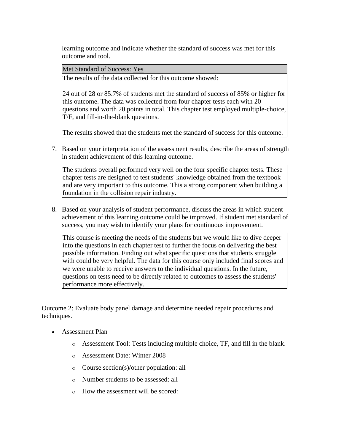Met Standard of Success: Yes

The results of the data collected for this outcome showed:

24 out of 28 or 85.7% of students met the standard of success of 85% or higher for this outcome. The data was collected from four chapter tests each with 20 questions and worth 20 points in total. This chapter test employed multiple-choice, T/F, and fill-in-the-blank questions.

The results showed that the students met the standard of success for this outcome.

7. Based on your interpretation of the assessment results, describe the areas of strength in student achievement of this learning outcome.

The students overall performed very well on the four specific chapter tests. These chapter tests are designed to test students' knowledge obtained from the textbook and are very important to this outcome. This a strong component when building a foundation in the collision repair industry.

8. Based on your analysis of student performance, discuss the areas in which student achievement of this learning outcome could be improved. If student met standard of success, you may wish to identify your plans for continuous improvement.

This course is meeting the needs of the students but we would like to dive deeper into the questions in each chapter test to further the focus on delivering the best possible information. Finding out what specific questions that students struggle with could be very helpful. The data for this course only included final scores and we were unable to receive answers to the individual questions. In the future, questions on tests need to be directly related to outcomes to assess the students' performance more effectively.

Outcome 2: Evaluate body panel damage and determine needed repair procedures and techniques.

- Assessment Plan
	- o Assessment Tool: Tests including multiple choice, TF, and fill in the blank.
	- o Assessment Date: Winter 2008
	- o Course section(s)/other population: all
	- o Number students to be assessed: all
	- o How the assessment will be scored: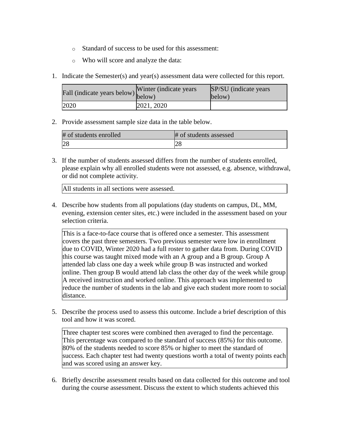- o Standard of success to be used for this assessment:
- o Who will score and analyze the data:
- 1. Indicate the Semester(s) and year(s) assessment data were collected for this report.

| Fall (indicate years below) below) | Winter (indicate years) | SP/SU (indicate years)<br>below) |
|------------------------------------|-------------------------|----------------------------------|
| 2020                               | 2021, 2020              |                                  |

| # of students enrolled | # of students assessed |
|------------------------|------------------------|
| 28                     |                        |

3. If the number of students assessed differs from the number of students enrolled, please explain why all enrolled students were not assessed, e.g. absence, withdrawal, or did not complete activity.

All students in all sections were assessed.

4. Describe how students from all populations (day students on campus, DL, MM, evening, extension center sites, etc.) were included in the assessment based on your selection criteria.

This is a face-to-face course that is offered once a semester. This assessment covers the past three semesters. Two previous semester were low in enrollment due to COVID, Winter 2020 had a full roster to gather data from. During COVID this course was taught mixed mode with an A group and a B group. Group A attended lab class one day a week while group B was instructed and worked online. Then group B would attend lab class the other day of the week while group A received instruction and worked online. This approach was implemented to reduce the number of students in the lab and give each student more room to social distance.

5. Describe the process used to assess this outcome. Include a brief description of this tool and how it was scored.

Three chapter test scores were combined then averaged to find the percentage. This percentage was compared to the standard of success (85%) for this outcome. 80% of the students needed to score 85% or higher to meet the standard of success. Each chapter test had twenty questions worth a total of twenty points each and was scored using an answer key.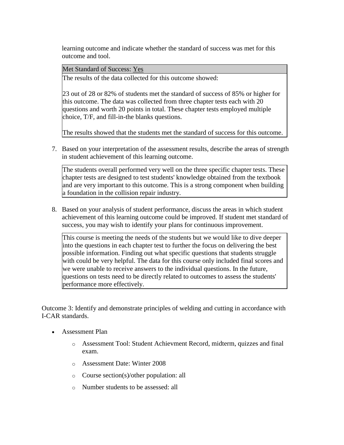Met Standard of Success: Yes

The results of the data collected for this outcome showed:

23 out of 28 or 82% of students met the standard of success of 85% or higher for this outcome. The data was collected from three chapter tests each with 20 questions and worth 20 points in total. These chapter tests employed multiple choice, T/F, and fill-in-the blanks questions.

The results showed that the students met the standard of success for this outcome.

7. Based on your interpretation of the assessment results, describe the areas of strength in student achievement of this learning outcome.

The students overall performed very well on the three specific chapter tests. These chapter tests are designed to test students' knowledge obtained from the textbook and are very important to this outcome. This is a strong component when building a foundation in the collision repair industry.

8. Based on your analysis of student performance, discuss the areas in which student achievement of this learning outcome could be improved. If student met standard of success, you may wish to identify your plans for continuous improvement.

This course is meeting the needs of the students but we would like to dive deeper into the questions in each chapter test to further the focus on delivering the best possible information. Finding out what specific questions that students struggle with could be very helpful. The data for this course only included final scores and we were unable to receive answers to the individual questions. In the future, questions on tests need to be directly related to outcomes to assess the students' performance more effectively.

Outcome 3: Identify and demonstrate principles of welding and cutting in accordance with I-CAR standards.

- Assessment Plan
	- o Assessment Tool: Student Achievment Record, midterm, quizzes and final exam.
	- o Assessment Date: Winter 2008
	- o Course section(s)/other population: all
	- o Number students to be assessed: all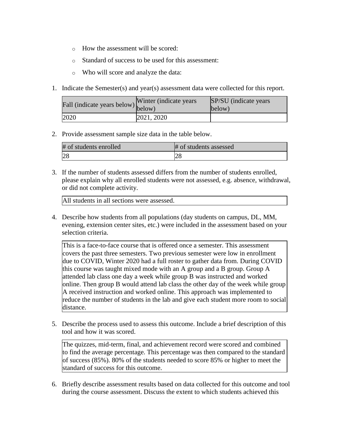- o How the assessment will be scored:
- o Standard of success to be used for this assessment:
- o Who will score and analyze the data:
- 1. Indicate the Semester(s) and year(s) assessment data were collected for this report.

| rall (indicate years below) below) | Winter (indicate years) | SP/SU (indicate years)<br>below) |
|------------------------------------|-------------------------|----------------------------------|
| 2020                               | 2021, 2020              |                                  |

| # of students enrolled | # of students assessed |
|------------------------|------------------------|
|                        | ∠o                     |

3. If the number of students assessed differs from the number of students enrolled, please explain why all enrolled students were not assessed, e.g. absence, withdrawal, or did not complete activity.

All students in all sections were assessed.

4. Describe how students from all populations (day students on campus, DL, MM, evening, extension center sites, etc.) were included in the assessment based on your selection criteria.

This is a face-to-face course that is offered once a semester. This assessment covers the past three semesters. Two previous semester were low in enrollment due to COVID, Winter 2020 had a full roster to gather data from. During COVID this course was taught mixed mode with an A group and a B group. Group A attended lab class one day a week while group B was instructed and worked online. Then group B would attend lab class the other day of the week while group A received instruction and worked online. This approach was implemented to reduce the number of students in the lab and give each student more room to social distance.

5. Describe the process used to assess this outcome. Include a brief description of this tool and how it was scored.

The quizzes, mid-term, final, and achievement record were scored and combined to find the average percentage. This percentage was then compared to the standard of success (85%). 80% of the students needed to score 85% or higher to meet the standard of success for this outcome.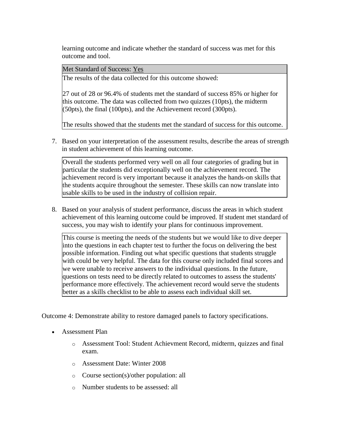Met Standard of Success: Yes

The results of the data collected for this outcome showed:

27 out of 28 or 96.4% of students met the standard of success 85% or higher for this outcome. The data was collected from two quizzes (10pts), the midterm (50pts), the final (100pts), and the Achievement record (300pts).

The results showed that the students met the standard of success for this outcome.

7. Based on your interpretation of the assessment results, describe the areas of strength in student achievement of this learning outcome.

Overall the students performed very well on all four categories of grading but in particular the students did exceptionally well on the achievement record. The achievement record is very important because it analyzes the hands-on skills that the students acquire throughout the semester. These skills can now translate into usable skills to be used in the industry of collision repair.

8. Based on your analysis of student performance, discuss the areas in which student achievement of this learning outcome could be improved. If student met standard of success, you may wish to identify your plans for continuous improvement.

This course is meeting the needs of the students but we would like to dive deeper into the questions in each chapter test to further the focus on delivering the best possible information. Finding out what specific questions that students struggle with could be very helpful. The data for this course only included final scores and we were unable to receive answers to the individual questions. In the future, questions on tests need to be directly related to outcomes to assess the students' performance more effectively. The achievement record would serve the students better as a skills checklist to be able to assess each individual skill set.

Outcome 4: Demonstrate ability to restore damaged panels to factory specifications.

- Assessment Plan
	- o Assessment Tool: Student Achievment Record, midterm, quizzes and final exam.
	- o Assessment Date: Winter 2008
	- o Course section(s)/other population: all
	- o Number students to be assessed: all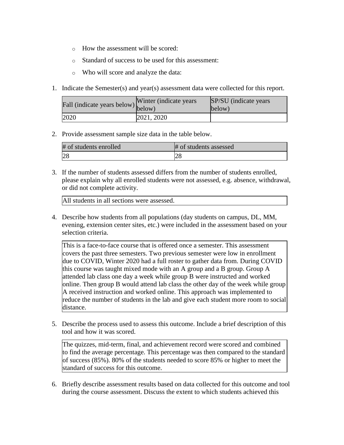- o How the assessment will be scored:
- o Standard of success to be used for this assessment:
- o Who will score and analyze the data:
- 1. Indicate the Semester(s) and year(s) assessment data were collected for this report.

| Fall (indicate years below) below) | Winter (indicate years) | SP/SU (indicate years)<br>below) |
|------------------------------------|-------------------------|----------------------------------|
| 2020                               | 2021, 2020              |                                  |

| # of students enrolled | # of students assessed |
|------------------------|------------------------|
|                        |                        |

3. If the number of students assessed differs from the number of students enrolled, please explain why all enrolled students were not assessed, e.g. absence, withdrawal, or did not complete activity.

All students in all sections were assessed.

4. Describe how students from all populations (day students on campus, DL, MM, evening, extension center sites, etc.) were included in the assessment based on your selection criteria.

This is a face-to-face course that is offered once a semester. This assessment covers the past three semesters. Two previous semester were low in enrollment due to COVID, Winter 2020 had a full roster to gather data from. During COVID this course was taught mixed mode with an A group and a B group. Group A attended lab class one day a week while group B were instructed and worked online. Then group B would attend lab class the other day of the week while group A received instruction and worked online. This approach was implemented to reduce the number of students in the lab and give each student more room to social distance.

5. Describe the process used to assess this outcome. Include a brief description of this tool and how it was scored.

The quizzes, mid-term, final, and achievement record were scored and combined to find the average percentage. This percentage was then compared to the standard of success (85%). 80% of the students needed to score 85% or higher to meet the standard of success for this outcome.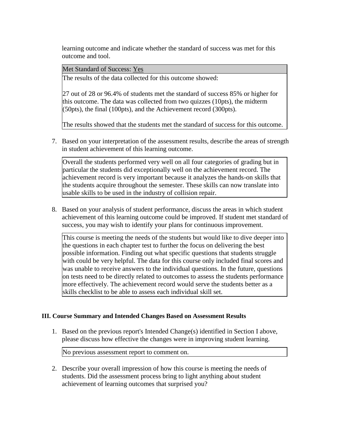Met Standard of Success: Yes

The results of the data collected for this outcome showed:

27 out of 28 or 96.4% of students met the standard of success 85% or higher for this outcome. The data was collected from two quizzes (10pts), the midterm (50pts), the final (100pts), and the Achievement record (300pts).

The results showed that the students met the standard of success for this outcome.

7. Based on your interpretation of the assessment results, describe the areas of strength in student achievement of this learning outcome.

Overall the students performed very well on all four categories of grading but in particular the students did exceptionally well on the achievement record. The achievement record is very important because it analyzes the hands-on skills that the students acquire throughout the semester. These skills can now translate into usable skills to be used in the industry of collision repair.

8. Based on your analysis of student performance, discuss the areas in which student achievement of this learning outcome could be improved. If student met standard of success, you may wish to identify your plans for continuous improvement.

This course is meeting the needs of the students but would like to dive deeper into the questions in each chapter test to further the focus on delivering the best possible information. Finding out what specific questions that students struggle with could be very helpful. The data for this course only included final scores and was unable to receive answers to the individual questions. In the future, questions on tests need to be directly related to outcomes to assess the students performance more effectively. The achievement record would serve the students better as a skills checklist to be able to assess each individual skill set.

### **III. Course Summary and Intended Changes Based on Assessment Results**

1. Based on the previous report's Intended Change(s) identified in Section I above, please discuss how effective the changes were in improving student learning.

No previous assessment report to comment on.

2. Describe your overall impression of how this course is meeting the needs of students. Did the assessment process bring to light anything about student achievement of learning outcomes that surprised you?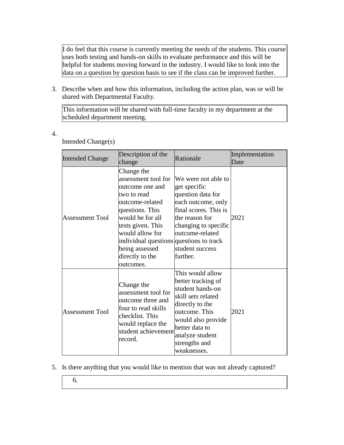I do feel that this course is currently meeting the needs of the students. This course uses both testing and hands-on skills to evaluate performance and this will be helpful for students moving forward in the industry. I would like to look into the data on a question by question basis to see if the class can be improved further.

3. Describe when and how this information, including the action plan, was or will be shared with Departmental Faculty.

This information will be shared with full-time faculty in my department at the scheduled department meeting.

4.

| Intended Change(s) |  |
|--------------------|--|
|                    |  |

| <b>Intended Change</b> | Description of the<br>change                                                                                                                                                                                                                                       | Rationale                                                                                                                                                                                                       | Implementation<br>Date |
|------------------------|--------------------------------------------------------------------------------------------------------------------------------------------------------------------------------------------------------------------------------------------------------------------|-----------------------------------------------------------------------------------------------------------------------------------------------------------------------------------------------------------------|------------------------|
| <b>Assessment Tool</b> | Change the<br>assessment tool for<br>outcome one and<br>two to read<br>outcome-related<br>questions. This<br>would be for all<br>tests given. This<br>would allow for<br>individual questions questions to track<br>being assessed<br>directly to the<br>outcomes. | We were not able to<br>get specific<br>question data for<br>each outcome, only<br>final scores. This is<br>the reason for<br>changing to specific<br>outcome-related<br>student success<br>further.             | 2021                   |
| <b>Assessment Tool</b> | Change the<br>assessment tool for<br>outcome three and<br>four to read skills<br>checklist. This<br>would replace the<br>student achievement<br>record.                                                                                                            | This would allow<br>better tracking of<br>student hands-on<br>skill sets related<br>directly to the<br>outcome. This<br>would also provide<br>better data to<br>analyze student<br>strengths and<br>weaknesses. | 2021                   |

- 5. Is there anything that you would like to mention that was not already captured?
	- 6.